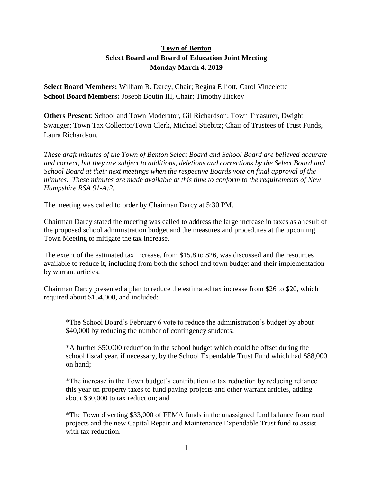## **Town of Benton Select Board and Board of Education Joint Meeting Monday March 4, 2019**

**Select Board Members:** William R. Darcy, Chair; Regina Elliott, Carol Vincelette **School Board Members:** Joseph Boutin III, Chair; Timothy Hickey

**Others Present**: School and Town Moderator, Gil Richardson; Town Treasurer, Dwight Swauger; Town Tax Collector/Town Clerk, Michael Stiebitz; Chair of Trustees of Trust Funds, Laura Richardson.

*These draft minutes of the Town of Benton Select Board and School Board are believed accurate and correct, but they are subject to additions, deletions and corrections by the Select Board and School Board at their next meetings when the respective Boards vote on final approval of the minutes. These minutes are made available at this time to conform to the requirements of New Hampshire RSA 91-A:2.*

The meeting was called to order by Chairman Darcy at 5:30 PM.

Chairman Darcy stated the meeting was called to address the large increase in taxes as a result of the proposed school administration budget and the measures and procedures at the upcoming Town Meeting to mitigate the tax increase.

The extent of the estimated tax increase, from \$15.8 to \$26, was discussed and the resources available to reduce it, including from both the school and town budget and their implementation by warrant articles.

Chairman Darcy presented a plan to reduce the estimated tax increase from \$26 to \$20, which required about \$154,000, and included:

\*The School Board's February 6 vote to reduce the administration's budget by about \$40,000 by reducing the number of contingency students;

\*A further \$50,000 reduction in the school budget which could be offset during the school fiscal year, if necessary, by the School Expendable Trust Fund which had \$88,000 on hand;

\*The increase in the Town budget's contribution to tax reduction by reducing reliance this year on property taxes to fund paving projects and other warrant articles, adding about \$30,000 to tax reduction; and

\*The Town diverting \$33,000 of FEMA funds in the unassigned fund balance from road projects and the new Capital Repair and Maintenance Expendable Trust fund to assist with tax reduction.